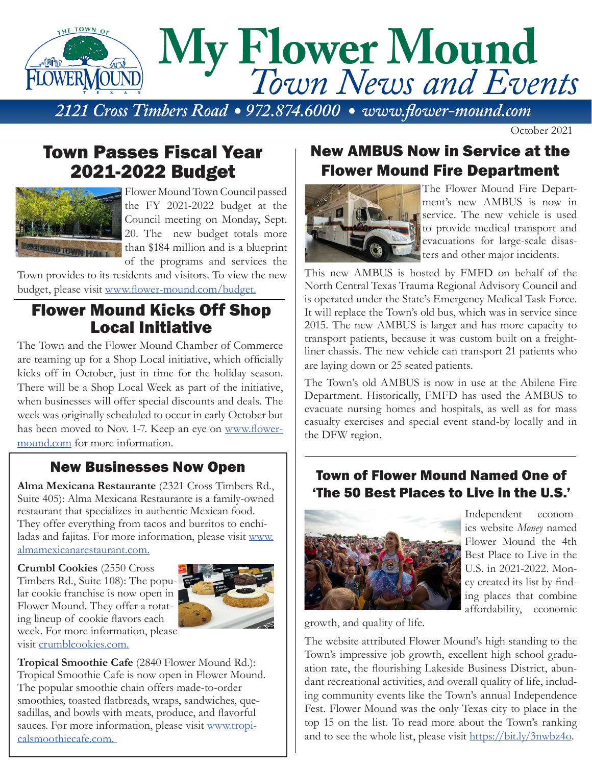

October 2021

# Town Passes Fiscal Year 2021-2022 Budget



Flower Mound Town Council passed the FY 2021-2022 budget at the Council meeting on Monday, Sept. 20. The new budget totals more than \$184 million and is a blueprint of the programs and services the

Town provides to its residents and visitors. To view the new budget, please visit www.flower-mound.com/budget.

## Flower Mound Kicks Off Shop Local Initiative

The Town and the Flower Mound Chamber of Commerce are teaming up for a Shop Local initiative, which officially kicks off in October, just in time for the holiday season. There will be a Shop Local Week as part of the initiative, when businesses will offer special discounts and deals. The week was originally scheduled to occur in early October but has been moved to Nov. 1-7. Keep an eye on www.flowermound.com for more information.

## New Businesses Now Open

**Alma Mexicana Restaurante** (2321 Cross Timbers Rd., Suite 405): Alma Mexicana Restaurante is a family-owned restaurant that specializes in authentic Mexican food. They offer everything from tacos and burritos to enchiladas and fajitas. For more information, please visit www. almamexicanarestaurant.com.

**Crumbl Cookies** (2550 Cross Timbers Rd., Suite 108): The popular cookie franchise is now open in Flower Mound. They offer a rotating lineup of cookie flavors each week. For more information, please visit crumblcookies.com.



**Tropical Smoothie Cafe** (2840 Flower Mound Rd.): Tropical Smoothie Cafe is now open in Flower Mound. The popular smoothie chain offers made-to-order smoothies, toasted flatbreads, wraps, sandwiches, quesadillas, and bowls with meats, produce, and flavorful sauces. For more information, please visit www.tropicalsmoothiecafe.com.

# New AMBUS Now in Service at the Flower Mound Fire Department



The Flower Mound Fire Department's new AMBUS is now in service. The new vehicle is used to provide medical transport and evacuations for large-scale disasters and other major incidents.

This new AMBUS is hosted by FMFD on behalf of the North Central Texas Trauma Regional Advisory Council and is operated under the State's Emergency Medical Task Force. It will replace the Town's old bus, which was in service since 2015. The new AMBUS is larger and has more capacity to transport patients, because it was custom built on a freightliner chassis. The new vehicle can transport 21 patients who are laying down or 25 seated patients.

The Town's old AMBUS is now in use at the Abilene Fire Department. Historically, FMFD has used the AMBUS to evacuate nursing homes and hospitals, as well as for mass casualty exercises and special event stand-by locally and in the DFW region.

## Town of Flower Mound Named One of 'The 50 Best Places to Live in the U.S.'



Independent economics website *Money* named Flower Mound the 4th Best Place to Live in the U.S. in 2021-2022. Money created its list by finding places that combine affordability, economic

growth, and quality of life.

The website attributed Flower Mound's high standing to the Town's impressive job growth, excellent high school graduation rate, the flourishing Lakeside Business District, abundant recreational activities, and overall quality of life, including community events like the Town's annual Independence Fest. Flower Mound was the only Texas city to place in the top 15 on the list. To read more about the Town's ranking and to see the whole list, please visit https://bit.ly/3nwbz4o.